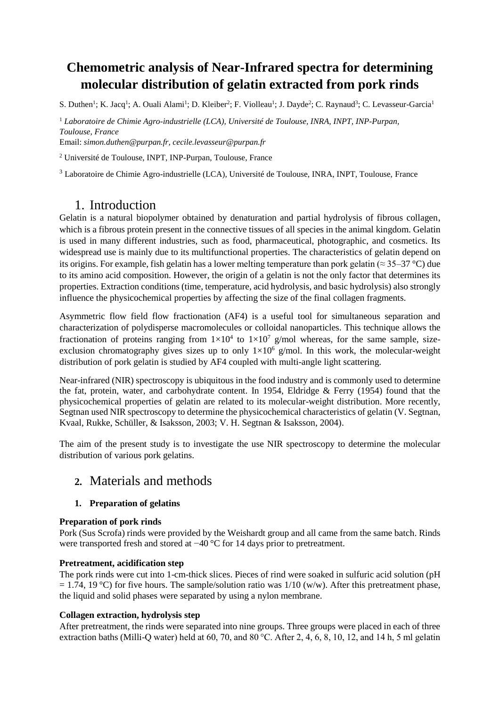# **Chemometric analysis of Near-Infrared spectra for determining molecular distribution of gelatin extracted from pork rinds**

S. Duthen<sup>1</sup>; K. Jacq<sup>1</sup>; A. Ouali Alami<sup>1</sup>; D. Kleiber<sup>2</sup>; F. Violleau<sup>1</sup>; J. Dayde<sup>2</sup>; C. Raynaud<sup>3</sup>; C. Levasseur-Garcia<sup>1</sup>

<sup>1</sup> *Laboratoire de Chimie Agro-industrielle (LCA), Université de Toulouse, INRA, INPT, INP-Purpan, Toulouse, France*

Email: *simon.duthen@purpan.fr, cecile.levasseur@purpan.fr*

<sup>2</sup> Université de Toulouse, INPT, INP-Purpan, Toulouse, France

<sup>3</sup> Laboratoire de Chimie Agro-industrielle (LCA), Université de Toulouse, INRA, INPT, Toulouse, France

# 1. Introduction

Gelatin is a natural biopolymer obtained by denaturation and partial hydrolysis of fibrous collagen, which is a fibrous protein present in the connective tissues of all species in the animal kingdom. Gelatin is used in many different industries, such as food, pharmaceutical, photographic, and cosmetics. Its widespread use is mainly due to its multifunctional properties. The characteristics of gelatin depend on its origins. For example, fish gelatin has a lower melting temperature than pork gelatin (≈ 35–37 °C) due to its amino acid composition. However, the origin of a gelatin is not the only factor that determines its properties. Extraction conditions (time, temperature, acid hydrolysis, and basic hydrolysis) also strongly influence the physicochemical properties by affecting the size of the final collagen fragments.

Asymmetric flow field flow fractionation (AF4) is a useful tool for simultaneous separation and characterization of polydisperse macromolecules or colloidal nanoparticles. This technique allows the fractionation of proteins ranging from  $1 \times 10^4$  to  $1 \times 10^7$  g/mol whereas, for the same sample, sizeexclusion chromatography gives sizes up to only  $1\times10^6$  g/mol. In this work, the molecular-weight distribution of pork gelatin is studied by AF4 coupled with multi-angle light scattering.

Near-infrared (NIR) spectroscopy is ubiquitous in the food industry and is commonly used to determine the fat, protein, water, and carbohydrate content. In 1954, Eldridge & Ferry (1954) found that the physicochemical properties of gelatin are related to its molecular-weight distribution. More recently, Segtnan used NIR spectroscopy to determine the physicochemical characteristics of gelatin (V. Segtnan, Kvaal, Rukke, Schüller, & Isaksson, 2003; V. H. Segtnan & Isaksson, 2004).

The aim of the present study is to investigate the use NIR spectroscopy to determine the molecular distribution of various pork gelatins.

# **2.** Materials and methods

# **1. Preparation of gelatins**

# **Preparation of pork rinds**

Pork (Sus Scrofa) rinds were provided by the Weishardt group and all came from the same batch. Rinds were transported fresh and stored at −40 °C for 14 days prior to pretreatment.

# **Pretreatment, acidification step**

The pork rinds were cut into 1-cm-thick slices. Pieces of rind were soaked in sulfuric acid solution (pH  $= 1.74$ , 19 °C) for five hours. The sample/solution ratio was 1/10 (w/w). After this pretreatment phase, the liquid and solid phases were separated by using a nylon membrane.

# **Collagen extraction, hydrolysis step**

After pretreatment, the rinds were separated into nine groups. Three groups were placed in each of three extraction baths (Milli-Q water) held at 60, 70, and 80 °C. After 2, 4, 6, 8, 10, 12, and 14 h, 5 ml gelatin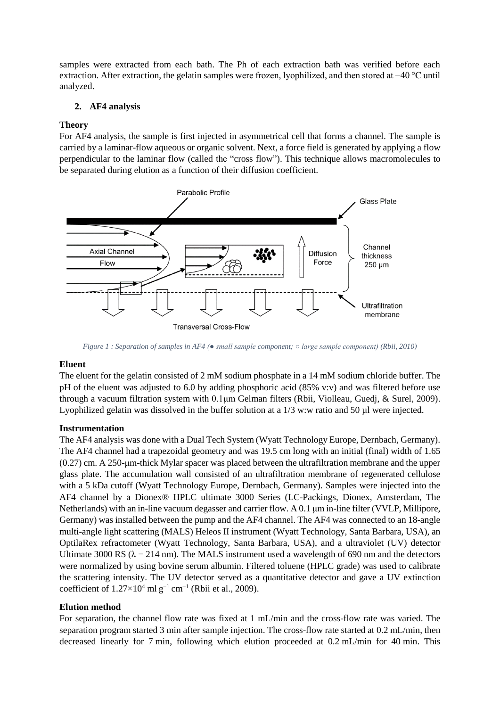samples were extracted from each bath. The Ph of each extraction bath was verified before each extraction. After extraction, the gelatin samples were frozen, lyophilized, and then stored at −40 °C until analyzed.

# **2. AF4 analysis**

## **Theory**

For AF4 analysis, the sample is first injected in asymmetrical cell that forms a channel. The sample is carried by a laminar-flow aqueous or organic solvent. Next, a force field is generated by applying a flow perpendicular to the laminar flow (called the "cross flow"). This technique allows macromolecules to be separated during elution as a function of their diffusion coefficient.



*Figure 1 : Separation of samples in AF4 (● small sample component; ○ large sample component) (Rbii, 2010)*

#### **Eluent**

The eluent for the gelatin consisted of 2 mM sodium phosphate in a 14 mM sodium chloride buffer. The pH of the eluent was adjusted to 6.0 by adding phosphoric acid (85% v:v) and was filtered before use through a vacuum filtration system with 0.1μm Gelman filters (Rbii, Violleau, Guedj, & Surel, 2009). Lyophilized gelatin was dissolved in the buffer solution at a  $1/3$  w:w ratio and 50 ul were injected.

#### **Instrumentation**

The AF4 analysis was done with a Dual Tech System (Wyatt Technology Europe, Dernbach, Germany). The AF4 channel had a trapezoidal geometry and was 19.5 cm long with an initial (final) width of 1.65 (0.27) cm. A 250-μm-thick Mylar spacer was placed between the ultrafiltration membrane and the upper glass plate. The accumulation wall consisted of an ultrafiltration membrane of regenerated cellulose with a 5 kDa cutoff (Wyatt Technology Europe, Dernbach, Germany). Samples were injected into the AF4 channel by a Dionex® HPLC ultimate 3000 Series (LC-Packings, Dionex, Amsterdam, The Netherlands) with an in-line vacuum degasser and carrier flow. A 0.1 μm in-line filter (VVLP, Millipore, Germany) was installed between the pump and the AF4 channel. The AF4 was connected to an 18-angle multi-angle light scattering (MALS) Heleos II instrument (Wyatt Technology, Santa Barbara, USA), an OptilaRex refractometer (Wyatt Technology, Santa Barbara, USA), and a ultraviolet (UV) detector Ultimate 3000 RS ( $\lambda = 214$  nm). The MALS instrument used a wavelength of 690 nm and the detectors were normalized by using bovine serum albumin. Filtered toluene (HPLC grade) was used to calibrate the scattering intensity. The UV detector served as a quantitative detector and gave a UV extinction coefficient of  $1.27 \times 10^4$  ml g<sup>-1</sup> cm<sup>-1</sup> (Rbii et al., 2009).

#### **Elution method**

For separation, the channel flow rate was fixed at 1 mL/min and the cross-flow rate was varied. The separation program started 3 min after sample injection. The cross-flow rate started at 0.2 mL/min, then decreased linearly for 7 min, following which elution proceeded at 0.2 mL/min for 40 min. This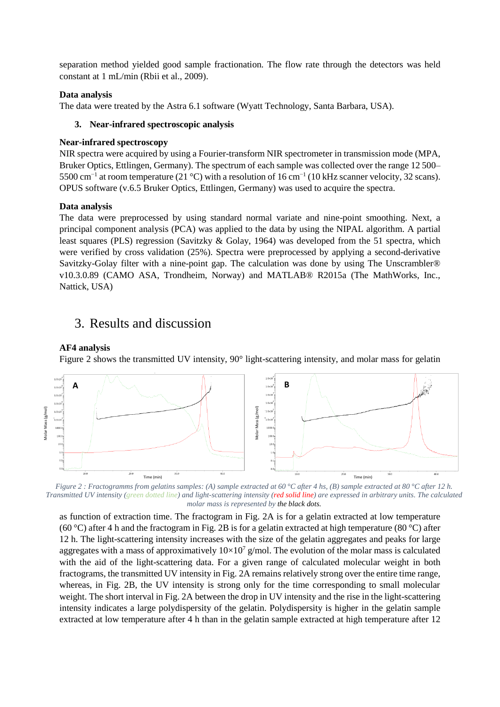separation method yielded good sample fractionation. The flow rate through the detectors was held constant at 1 mL/min (Rbii et al., 2009).

#### **Data analysis**

The data were treated by the Astra 6.1 software (Wyatt Technology, Santa Barbara, USA).

## **3. Near-infrared spectroscopic analysis**

### **Near-infrared spectroscopy**

NIR spectra were acquired by using a Fourier-transform NIR spectrometer in transmission mode (MPA, Bruker Optics, Ettlingen, Germany). The spectrum of each sample was collected over the range 12 500– 5500 cm<sup>-1</sup> at room temperature (21 °C) with a resolution of 16 cm<sup>-1</sup> (10 kHz scanner velocity, 32 scans). OPUS software (v.6.5 Bruker Optics, Ettlingen, Germany) was used to acquire the spectra.

### **Data analysis**

The data were preprocessed by using standard normal variate and nine-point smoothing. Next, a principal component analysis (PCA) was applied to the data by using the NIPAL algorithm. A partial least squares (PLS) regression (Savitzky & Golay, 1964) was developed from the 51 spectra, which were verified by cross validation (25%). Spectra were preprocessed by applying a second-derivative Savitzky-Golay filter with a nine-point gap. The calculation was done by using The Unscrambler® v10.3.0.89 (CAMO ASA, Trondheim, Norway) and MATLAB® R2015a (The MathWorks, Inc., Nattick, USA)

# 3. Results and discussion

### **AF4 analysis**

Figure 2 shows the transmitted UV intensity, 90° light-scattering intensity, and molar mass for gelatin



*Figure 2 : Fractogramms from gelatins samples: (A) sample extracted at 60 °C after 4 hs, (B) sample extracted at 80 °C after 12 h. Transmitted UV intensity (green dotted line) and light-scattering intensity (red solid line) are expressed in arbitrary units. The calculated molar mass is represented by the black dots.*

as function of extraction time. The fractogram in Fig. 2A is for a gelatin extracted at low temperature (60 °C) after 4 h and the fractogram in Fig. 2B is for a gelatin extracted at high temperature (80 °C) after 12 h. The light-scattering intensity increases with the size of the gelatin aggregates and peaks for large aggregates with a mass of approximatively  $10\times10^{7}$  g/mol. The evolution of the molar mass is calculated with the aid of the light-scattering data. For a given range of calculated molecular weight in both fractograms, the transmitted UV intensity in Fig. 2A remains relatively strong over the entire time range, whereas, in Fig. 2B, the UV intensity is strong only for the time corresponding to small molecular weight. The short interval in Fig. 2A between the drop in UV intensity and the rise in the light-scattering intensity indicates a large polydispersity of the gelatin. Polydispersity is higher in the gelatin sample extracted at low temperature after 4 h than in the gelatin sample extracted at high temperature after 12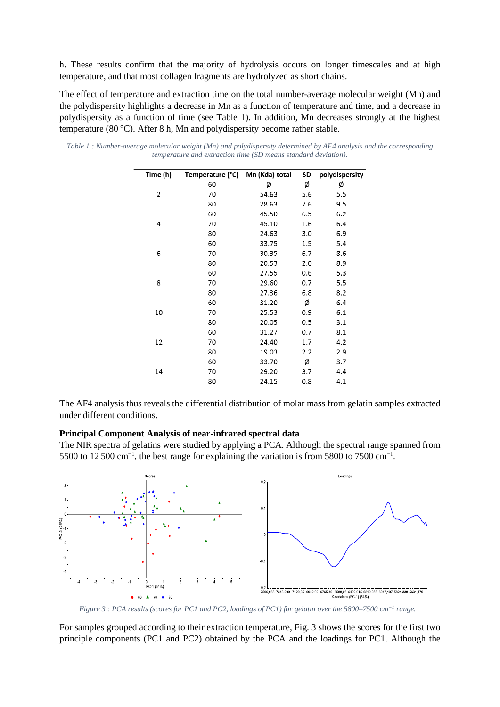h. These results confirm that the majority of hydrolysis occurs on longer timescales and at high temperature, and that most collagen fragments are hydrolyzed as short chains.

The effect of temperature and extraction time on the total number-average molecular weight (Mn) and the polydispersity highlights a decrease in Mn as a function of temperature and time, and a decrease in polydispersity as a function of time (see Table 1). In addition, Mn decreases strongly at the highest temperature (80 °C). After 8 h, Mn and polydispersity become rather stable.

| Time (h) | Temperature (°C) | Mn (Kda) total | SD  | polydispersity |
|----------|------------------|----------------|-----|----------------|
|          | 60               | Ø              | Ø   | Ø              |
| 2        | 70               | 54.63          | 5.6 | 5.5            |
|          | 80               | 28.63          | 7.6 | 9.5            |
|          | 60               | 45.50          | 6.5 | 6.2            |
| 4        | 70               | 45.10          | 1.6 | 6.4            |
|          | 80               | 24.63          | 3.0 | 6.9            |
|          | 60               | 33.75          | 1.5 | 5.4            |
| 6        | 70               | 30.35          | 6.7 | 8.6            |
|          | 80               | 20.53          | 2.0 | 8.9            |
| 8        | 60               | 27.55          | 0.6 | 5.3            |
|          | 70               | 29.60          | 0.7 | 5.5            |
|          | 80               | 27.36          | 6.8 | 8.2            |
|          | 60               | 31.20          | Ø   | 6.4            |
| 10       | 70               | 25.53          | 0.9 | 6.1            |
|          | 80               | 20.05          | 0.5 | 3.1            |
| 12       | 60               | 31.27          | 0.7 | 8.1            |
|          | 70               | 24.40          | 1.7 | 4.2            |
|          | 80               | 19.03          | 2.2 | 2.9            |
|          | 60               | 33.70          | Ø   | 3.7            |
| 14       | 70               | 29.20          | 3.7 | 4.4            |
|          | 80               | 24.15          | 0.8 | 4.1            |

*Table 1 : Number-average molecular weight (Mn) and polydispersity determined by AF4 analysis and the corresponding temperature and extraction time (SD means standard deviation).*

The AF4 analysis thus reveals the differential distribution of molar mass from gelatin samples extracted under different conditions.

#### **Principal Component Analysis of near-infrared spectral data**

The NIR spectra of gelatins were studied by applying a PCA. Although the spectral range spanned from 5500 to 12 500 cm<sup>-1</sup>, the best range for explaining the variation is from 5800 to 7500 cm<sup>-1</sup>.



*Figure 3 : PCA results (scores for PC1 and PC2, loadings of PC1) for gelatin over the 5800–7500 cm−1 range.* 

For samples grouped according to their extraction temperature, Fig. 3 shows the scores for the first two principle components (PC1 and PC2) obtained by the PCA and the loadings for PC1. Although the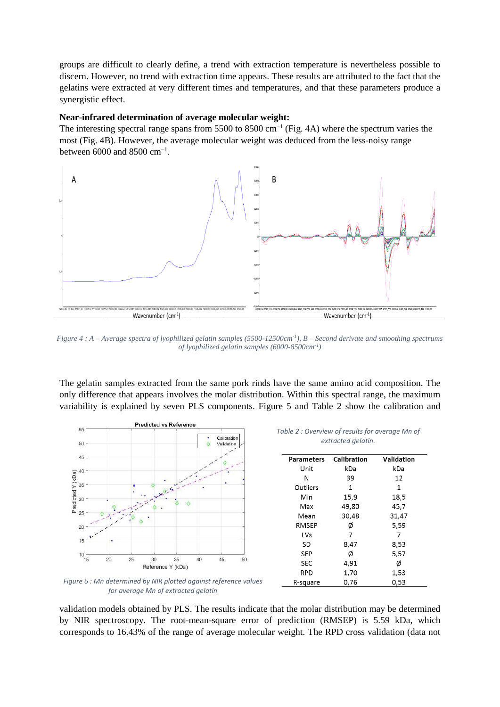groups are difficult to clearly define, a trend with extraction temperature is nevertheless possible to discern. However, no trend with extraction time appears. These results are attributed to the fact that the gelatins were extracted at very different times and temperatures, and that these parameters produce a synergistic effect.

#### **Near-infrared determination of average molecular weight:**

The interesting spectral range spans from 5500 to  $8500 \text{ cm}^{-1}$  (Fig. 4A) where the spectrum varies the most (Fig. 4B). However, the average molecular weight was deduced from the less-noisy range between  $6000$  and  $8500$  cm<sup>-1</sup>.



*Figure 4 : A – Average spectra of lyophilized gelatin samples (5500-12500cm-1 ), B – Second derivate and smoothing spectrums of lyophilized gelatin samples (6000-8500cm-1 )*

The gelatin samples extracted from the same pork rinds have the same amino acid composition. The only difference that appears involves the molar distribution. Within this spectral range, the maximum variability is explained by seven PLS components. Figure 5 and Table 2 show the calibration and



*Table 2 : Overview of results for average Mn of extracted gelatin.*

| <b>Parameters</b> | Calibration | Validation |
|-------------------|-------------|------------|
| Unit              | kDa         | kDa        |
| N                 | 39          | 12         |
| Outliers          | 1           | 1          |
| Min               | 15,9        | 18,5       |
| Max               | 49,80       | 45,7       |
| Mean              | 30,48       | 31,47      |
| <b>RMSEP</b>      | Ø           | 5.59       |
| LVs               | 7           | 7          |
| SD                | 8,47        | 8,53       |
| <b>SEP</b>        | Ø           | 5,57       |
| <b>SEC</b>        | 4,91        | Ø          |
| <b>RPD</b>        | 1,70        | 1,53       |
| R-square          | 0,76        | 0,53       |

*for average Mn of extracted gelatin*

validation models obtained by PLS. The results indicate that the molar distribution may be determined by NIR spectroscopy. The root-mean-square error of prediction (RMSEP) is 5.59 kDa, which corresponds to 16.43% of the range of average molecular weight. The RPD cross validation (data not